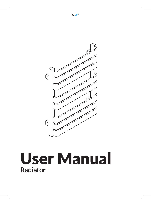

### User Manual **Radiator**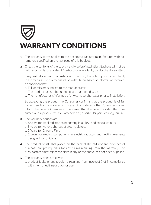# WARRANTY CONDITIONS

- **1.** The warranty terms applies to the decorative radiator manufactured with parameters specified on the last page of this booklet.
- **2.** Check the contents of the pack carefully before installation. Bauhaus will not be held responsible for any de-fit / re-fit costs where faulty product has been fitted.

If any fault is found with materials or workmanship, it must be reported immediately to the manufacturer. Remedial action will be taken, based on information received, on condition that:

- a. Full details are supplied to the manufacturer;
- b. The product has not been modified or tampered with;
- c. The manufacturer is informed of any damage/shortages prior to installation.

By accepting the product the Consumer confirms that the product is of full value, free from any defects. In case of any defects the Consumer should inform the Seller. Otherwise it is assumed that the Seller provided the Consumer with a product without any defects (in particular paint coating faults).

- **3.** The warranty periods are:
	- a. 8 years for steel radiator paint coating in all RAL and special colours,
	- b. 8 years for water tightness of steel radiators,
	- c. 5 Years for Chrome Finish
	- d. 2 years for electric components in electric radiators and heating elements designed for radiators.
- **4.** The product serial label placed on the back of the radiator and evidence of purchase are prerequisites for any claims resulting from the warranty. The Manufacturer may reject the claim if any of the above has not been supplied.
- **5.** The warranty does not cover:
	- a. product faults or any problems resulting from incorrect (not in compliance with the manual) installation or use;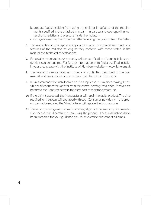- b. product faults resulting from using the radiator in defiance of the requirements specified in the attached manual — in particular those regarding water characteristics and pressure inside the radiator;
- c. damage caused by the Consumer after receiving the product from the Seller.
- **6.** The warranty does not apply to any claims related to technical and functional features of the radiator, as long as they conform with those stated in the manual and technical specifications.
- **7.** For a claim made under our warranty written certification of your installers credentials can be required. For further information or to find a qualified installer in your area please visit the Institute of Plumbers website — www.iphe.org.uk
- **8.** The warranty service does not include any activities described in the user manual, and customarily performed and paid for by the Consumer.
- **9.** It is recommended to install valves on the supply and return pipes making it possible to disconnect the radiator from the central heating installation. If valves are not fitted the Consumer covers the extra cost of radiator dismantling.
- **10.** If the claim is accepted, the Manufacturer will repair the faulty product. The time required for the repair will be agreed with each Consumer individually. If the product cannot be repaired the Manufacturer will replace it with a new one.
- **11.** The accompanying user manual is an integral part of the warranty documentation. Please read it carefully before using the product. These instructions have been prepared for your guidance, you must exercise due care at all times.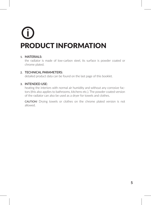# PRODUCT INFORMATION

### **1. MATERIALS:**

the radiator is made of low-carbon steel, its surface is powder coated or chrome plated.

### **2. TECHNICAL PARAMETERS:**

detailed product data can be found on the last page of this booklet.

### **3. INTENDED USE:**

heating the interiors with normal air humidity and without any corrosive factors (this also applies to bathrooms, kitchens etc.). The powder coated version of the radiator can also be used as a dryer for towels and clothes.

CAUTION! Drying towels or clothes on the chrome plated version is not allowed.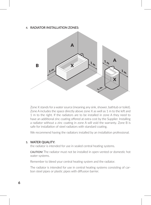### **4. RADIATOR INSTALLATION ZONES:**



Zone X stands for a water source (meaning any sink, shower, bathtub or toilet). Zone A includes the space directly above zone X as well as 1 m to the left and 1 m to the right. If the radiators are to be installed in zone A they need to have an additional zinc coating offered at extra cost by the Supplier. Installing a radiator without a zinc coating in zone A will void the warranty. Zone B is safe for installation of steel radiators with standard coating.

We recommend having the radiators installed by an installation professional.

### **5. WATER QUALITY:**

the radiator is intended for use in sealed central heating systems.

CAUTION! The radiator must not be installed in open-vented or domestic hot water systems.

Remember to bleed your central heating system and the radiator.

The radiator is intended for use in central heating systems consisting of carbon steel pipes or plastic pipes with diffusion barrier.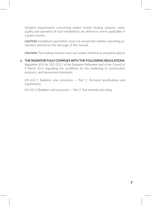Detailed requirements concerning sealed central heating systems, water quality and operation of such installations are defined in norms applicable in a given country.

CAUTION! Installation parameters must not exceed the radiator operating parameters defined on the last page of this manual.

CAUTION! The heating medium must not contain ethylene or propylene glycol.

**6. THE RADIATOR FULLY COMPLIES WITH THE FOLLOWING REGULATIONS:** *Regulation (EU) No 305/2011 of the European Parliament and of the Council of 9 March 2011* regulating the conditions for the marketing of construction products, and harmonised standards:

*EN 442-1 Radiators and convectors — Part 1: Technical specifications and requirements,*

*EN 442-2 Radiators and convectors — Part 2: Test methods and rating.*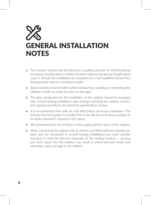### GENERAL INSTALLATION **NOTES**

- **1.** This product should only be fitted by a qualified plumber to NVQ (National Vocational Qualification) or SNVQ (Scottish National Vocational Qualification) Level 3. Should the installation be completed by a non-qualified person then the guarantee may be considered invalid.
- **2.** Special caution must be taken while transporting, installing or dismantling the radiator in order to avoid any harm or damages.
- **3.** The place designated for the installation of the radiator should be equipped with central heating installation pipe endings matching the radiator connection spacing specified in the technical specifications section.
- **4.** It is recommended that walls are fully tiled before accessory installation. This ensures that the product is installed flat to the tile face and allows product to be easily removed if required in the future.
- **5.** We recommend the use of valves on the supply and the return of the radiator.
- **6.** When converting the radiator into an electric unit (filled with the heating medium and not connected to central heating installation) you must consider and bear in mind the thermal expansion of the heating medium — pouring too much liquid into the radiator may result in critical pressure levels and, ultimately, cause damage to the radiator.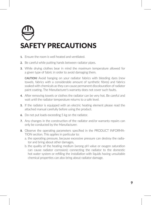### SAFETY PRECAUTIONS

- **1.** Ensure the room is well heated and ventilated.
- **2.** Be careful while putting hands between radiator pipes.
- **3.** While drying clothes bear in mind the maximum temperature allowed for a given type of fabric in order to avoid damaging them.

CAUTION! Avoid hanging on your radiator fabrics with bleeding dyes (new towels, fabrics with a considerable amount of synthetic fibres) and fabrics soaked with chemicals as they can cause permanent discolouration of radiator paint coating. The Manufacturer's warranty does not cover such faults.

- **4.** After removing towels or clothes the radiator can be very hot. Be careful and wait until the radiator temperature returns to a safe level.
- **5.** If the radiator is equipped with an electric heating element please read the attached manual carefully before using the product.
- **6.** Do not put loads exceeding 5 kg on the radiator.
- **7.** Any changes in the construction of the radiator and/or warranty repairs can only be conducted by the Manufacturer.
- **8.** Observe the operating parameters specified in the PRODUCT INFORMA-TION section. This applies in particular to:
	- a. the operating pressure, because excessive pressure can destroy the radiator and bring about other damages,
	- b. the quality of the heating medium (wrong pH value or oxygen saturation can cause radiator corrosion); connecting the radiator to the domestic hot water system or refilling the installation with liquids having unsuitable chemical properties can also bring about radiator damage.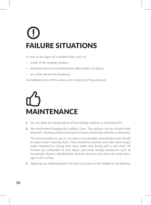# FAILURE SITUATIONS

In case of any signs of a radiator fault, such as:

- a leak of the heating medium,
- excessive pressure (manifested by deformation of pipes),
- any other abnormal symptoms,

immediately turn off the valves and contact the Manufacturer.

# MAINTENANCE

- **1.** Do not allow the temperature of the heating medium to fall below 0°C.
- **2.** We recommend keeping the radiator clean. The radiator can be cleaned with domestic cleaning products except for those containing solvents or abrasives.

The chrome plate we use on our taps is very durable, nevertheless care should be taken when cleaning them. They should be cleaned only with warm soapy water followed by rinsing with clean water and drying with a soft cloth. All finishes are vulnerable to acid attack and some strong substances such as household cleaners, disinfectants, denture cleaners, hair dyes can cause damage to the surface.

**3.** Applying any additional layers of paint or lacquer to the radiator is not allowed.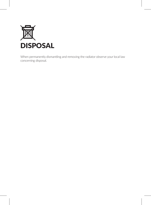

When permanently dismantling and removing the radiator observe your local law concerning disposal.